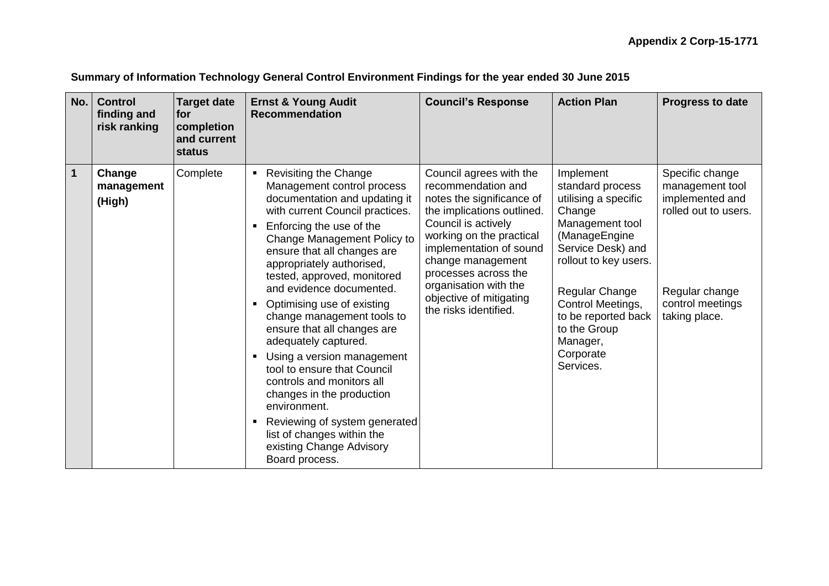| No.                     | <b>Control</b><br>finding and<br>risk ranking | <b>Target date</b><br>lfor.<br>completion<br>and current<br>status                                                                                                                                                                                                          | <b>Ernst &amp; Young Audit</b><br><b>Recommendation</b>                                                                                                                                                                                                                                                                    | <b>Council's Response</b>                                                                                                                                                                                                                                                                                        | <b>Action Plan</b>                                                                                                                                                                       | <b>Progress to date</b>                                                                                             |
|-------------------------|-----------------------------------------------|-----------------------------------------------------------------------------------------------------------------------------------------------------------------------------------------------------------------------------------------------------------------------------|----------------------------------------------------------------------------------------------------------------------------------------------------------------------------------------------------------------------------------------------------------------------------------------------------------------------------|------------------------------------------------------------------------------------------------------------------------------------------------------------------------------------------------------------------------------------------------------------------------------------------------------------------|------------------------------------------------------------------------------------------------------------------------------------------------------------------------------------------|---------------------------------------------------------------------------------------------------------------------|
| $\overline{\mathbf{1}}$ | Change<br>management<br>(High)                | Complete                                                                                                                                                                                                                                                                    | <b>Revisiting the Change</b><br>٠<br>Management control process<br>documentation and updating it<br>with current Council practices.<br>Enforcing the use of the<br>٠<br>Change Management Policy to<br>ensure that all changes are<br>appropriately authorised,<br>tested, approved, monitored<br>and evidence documented. | Council agrees with the<br>recommendation and<br>notes the significance of<br>the implications outlined.<br>Council is actively<br>working on the practical<br>implementation of sound<br>change management<br>processes across the<br>organisation with the<br>objective of mitigating<br>the risks identified. | Implement<br>standard process<br>utilising a specific<br>Change<br>Management tool<br>(ManageEngine<br>Service Desk) and<br>rollout to key users.<br>Regular Change<br>Control Meetings, | Specific change<br>management tool<br>implemented and<br>rolled out to users.<br>Regular change<br>control meetings |
|                         |                                               | Optimising use of existing<br>٠<br>ensure that all changes are<br>adequately captured.<br>$\blacksquare$<br>tool to ensure that Council<br>controls and monitors all<br>changes in the production<br>environment.<br>list of changes within the<br>existing Change Advisory | change management tools to<br>Using a version management<br>Reviewing of system generated<br>Board process.                                                                                                                                                                                                                |                                                                                                                                                                                                                                                                                                                  | to be reported back<br>to the Group<br>Manager,<br>Corporate<br>Services.                                                                                                                | taking place.                                                                                                       |

**Summary of Information Technology General Control Environment Findings for the year ended 30 June 2015**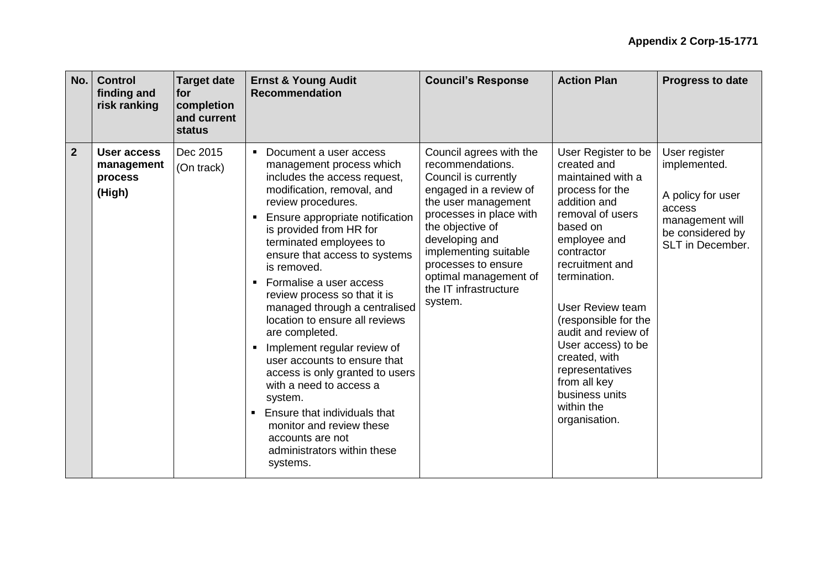| No.            | <b>Control</b><br>finding and<br>risk ranking  | <b>Target date</b><br><b>for</b><br>completion<br>and current<br>status | <b>Ernst &amp; Young Audit</b><br><b>Recommendation</b>                                                                                                                                                                                                                                                                                                                                                                                                                                                                                                                                                                                                                                                                   | <b>Council's Response</b>                                                                                                                                                                                                                                                                          | <b>Action Plan</b>                                                                                                                                                                                                                                                                                                                                                                               | <b>Progress to date</b>                                                                                                 |
|----------------|------------------------------------------------|-------------------------------------------------------------------------|---------------------------------------------------------------------------------------------------------------------------------------------------------------------------------------------------------------------------------------------------------------------------------------------------------------------------------------------------------------------------------------------------------------------------------------------------------------------------------------------------------------------------------------------------------------------------------------------------------------------------------------------------------------------------------------------------------------------------|----------------------------------------------------------------------------------------------------------------------------------------------------------------------------------------------------------------------------------------------------------------------------------------------------|--------------------------------------------------------------------------------------------------------------------------------------------------------------------------------------------------------------------------------------------------------------------------------------------------------------------------------------------------------------------------------------------------|-------------------------------------------------------------------------------------------------------------------------|
| $\overline{2}$ | User access<br>management<br>process<br>(High) | Dec 2015<br>(On track)                                                  | Document a user access<br>$\blacksquare$<br>management process which<br>includes the access request,<br>modification, removal, and<br>review procedures.<br>Ensure appropriate notification<br>is provided from HR for<br>terminated employees to<br>ensure that access to systems<br>is removed.<br>Formalise a user access<br>review process so that it is<br>managed through a centralised<br>location to ensure all reviews<br>are completed.<br>Implement regular review of<br>user accounts to ensure that<br>access is only granted to users<br>with a need to access a<br>system.<br>Ensure that individuals that<br>٠<br>monitor and review these<br>accounts are not<br>administrators within these<br>systems. | Council agrees with the<br>recommendations.<br>Council is currently<br>engaged in a review of<br>the user management<br>processes in place with<br>the objective of<br>developing and<br>implementing suitable<br>processes to ensure<br>optimal management of<br>the IT infrastructure<br>system. | User Register to be<br>created and<br>maintained with a<br>process for the<br>addition and<br>removal of users<br>based on<br>employee and<br>contractor<br>recruitment and<br>termination.<br><b>User Review team</b><br>(responsible for the<br>audit and review of<br>User access) to be<br>created, with<br>representatives<br>from all key<br>business units<br>within the<br>organisation. | User register<br>implemented.<br>A policy for user<br>access<br>management will<br>be considered by<br>SLT in December. |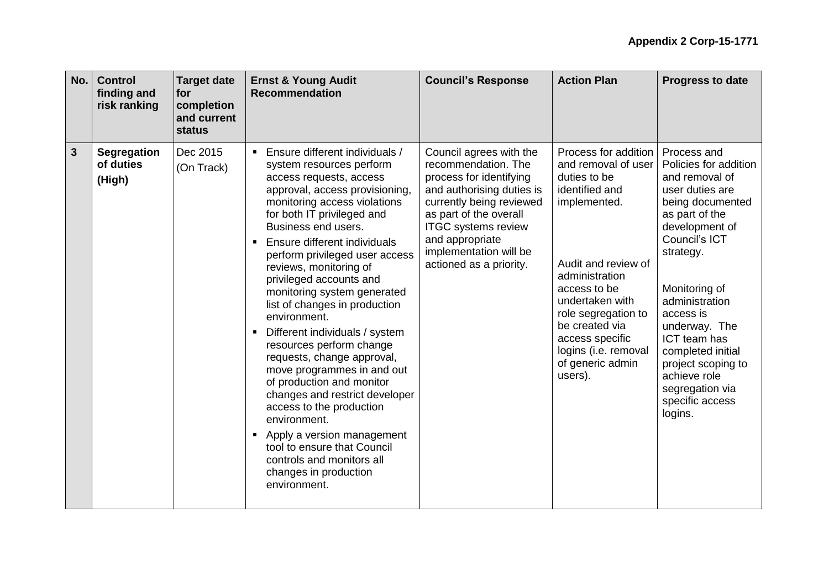|   | No.<br><b>Control</b><br>finding and<br>risk ranking | <b>Target date</b><br>for<br>completion<br>and current<br>status | <b>Ernst &amp; Young Audit</b><br><b>Recommendation</b>                                                                                                                                                                                                                                                                                                                                                                                                                                                                                                                                                                                                                                                                                                                                                                                             | <b>Council's Response</b>                                                                                                                                                                                                                                          | <b>Action Plan</b>                                                                                                                                                                                                                                                                           | <b>Progress to date</b>                                                                                                                                                                                                                                                                                                                                      |
|---|------------------------------------------------------|------------------------------------------------------------------|-----------------------------------------------------------------------------------------------------------------------------------------------------------------------------------------------------------------------------------------------------------------------------------------------------------------------------------------------------------------------------------------------------------------------------------------------------------------------------------------------------------------------------------------------------------------------------------------------------------------------------------------------------------------------------------------------------------------------------------------------------------------------------------------------------------------------------------------------------|--------------------------------------------------------------------------------------------------------------------------------------------------------------------------------------------------------------------------------------------------------------------|----------------------------------------------------------------------------------------------------------------------------------------------------------------------------------------------------------------------------------------------------------------------------------------------|--------------------------------------------------------------------------------------------------------------------------------------------------------------------------------------------------------------------------------------------------------------------------------------------------------------------------------------------------------------|
| 3 | <b>Segregation</b><br>of duties<br>(High)            | Dec 2015<br>(On Track)                                           | • Ensure different individuals /<br>system resources perform<br>access requests, access<br>approval, access provisioning,<br>monitoring access violations<br>for both IT privileged and<br>Business end users.<br>Ensure different individuals<br>$\blacksquare$<br>perform privileged user access<br>reviews, monitoring of<br>privileged accounts and<br>monitoring system generated<br>list of changes in production<br>environment.<br>Different individuals / system<br>$\blacksquare$<br>resources perform change<br>requests, change approval,<br>move programmes in and out<br>of production and monitor<br>changes and restrict developer<br>access to the production<br>environment.<br>Apply a version management<br>$\blacksquare$<br>tool to ensure that Council<br>controls and monitors all<br>changes in production<br>environment. | Council agrees with the<br>recommendation. The<br>process for identifying<br>and authorising duties is<br>currently being reviewed<br>as part of the overall<br><b>ITGC</b> systems review<br>and appropriate<br>implementation will be<br>actioned as a priority. | Process for addition<br>and removal of user<br>duties to be<br>identified and<br>implemented.<br>Audit and review of<br>administration<br>access to be<br>undertaken with<br>role segregation to<br>be created via<br>access specific<br>logins (i.e. removal<br>of generic admin<br>users). | Process and<br>Policies for addition<br>and removal of<br>user duties are<br>being documented<br>as part of the<br>development of<br>Council's ICT<br>strategy.<br>Monitoring of<br>administration<br>access is<br>underway. The<br>ICT team has<br>completed initial<br>project scoping to<br>achieve role<br>segregation via<br>specific access<br>logins. |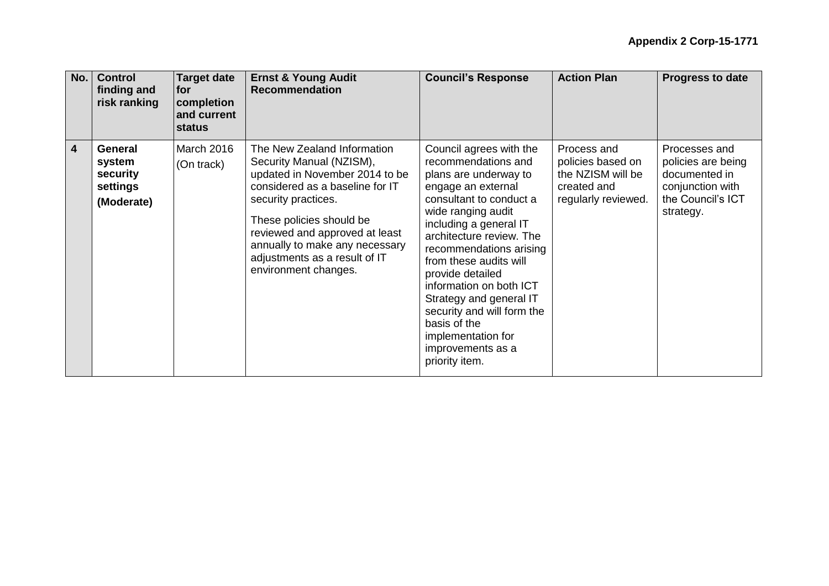| No. | <b>Control</b><br>finding and<br>risk ranking           | <b>Target date</b><br> for<br>completion<br>and current<br>status | <b>Ernst &amp; Young Audit</b><br><b>Recommendation</b>                                                                                                                                                                                                                                                      | <b>Council's Response</b>                                                                                                                                                                                                                                                                                                                                                                                                                      | <b>Action Plan</b>                                                                          | <b>Progress to date</b>                                                                                    |
|-----|---------------------------------------------------------|-------------------------------------------------------------------|--------------------------------------------------------------------------------------------------------------------------------------------------------------------------------------------------------------------------------------------------------------------------------------------------------------|------------------------------------------------------------------------------------------------------------------------------------------------------------------------------------------------------------------------------------------------------------------------------------------------------------------------------------------------------------------------------------------------------------------------------------------------|---------------------------------------------------------------------------------------------|------------------------------------------------------------------------------------------------------------|
| 4   | General<br>system<br>security<br>settings<br>(Moderate) | March 2016<br>(On track)                                          | The New Zealand Information<br>Security Manual (NZISM),<br>updated in November 2014 to be<br>considered as a baseline for IT<br>security practices.<br>These policies should be<br>reviewed and approved at least<br>annually to make any necessary<br>adjustments as a result of IT<br>environment changes. | Council agrees with the<br>recommendations and<br>plans are underway to<br>engage an external<br>consultant to conduct a<br>wide ranging audit<br>including a general IT<br>architecture review. The<br>recommendations arising<br>from these audits will<br>provide detailed<br>information on both ICT<br>Strategy and general IT<br>security and will form the<br>basis of the<br>implementation for<br>improvements as a<br>priority item. | Process and<br>policies based on<br>the NZISM will be<br>created and<br>regularly reviewed. | Processes and<br>policies are being<br>documented in<br>conjunction with<br>the Council's ICT<br>strategy. |